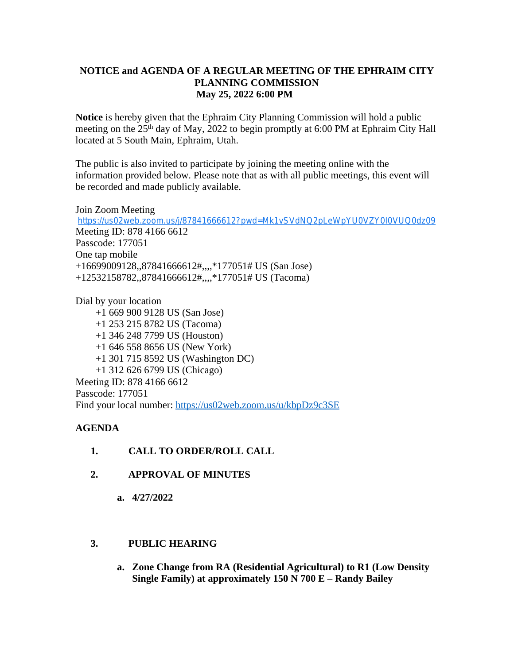## **NOTICE and AGENDA OF A REGULAR MEETING OF THE EPHRAIM CITY PLANNING COMMISSION May 25, 2022 6:00 PM**

**Notice** is hereby given that the Ephraim City Planning Commission will hold a public meeting on the 25<sup>th</sup> day of May, 2022 to begin promptly at 6:00 PM at Ephraim City Hall located at 5 South Main, Ephraim, Utah.

The public is also invited to participate by joining the meeting online with the information provided below. Please note that as with all public meetings, this event will be recorded and made publicly available.

Join Zoom Meeting <https://us02web.zoom.us/j/87841666612?pwd=Mk1vSVdNQ2pLeWpYU0VZY0I0VUQ0dz09> Meeting ID: 878 4166 6612 Passcode: 177051 One tap mobile +16699009128,,87841666612#,,,,\*177051# US (San Jose) +12532158782,,87841666612#,,,,\*177051# US (Tacoma)

Dial by your location +1 669 900 9128 US (San Jose) +1 253 215 8782 US (Tacoma) +1 346 248 7799 US (Houston) +1 646 558 8656 US (New York) +1 301 715 8592 US (Washington DC) +1 312 626 6799 US (Chicago) Meeting ID: 878 4166 6612 Passcode: 177051 Find your local number:<https://us02web.zoom.us/u/kbpDz9c3SE>

## **AGENDA**

- **1. CALL TO ORDER/ROLL CALL**
- **2. APPROVAL OF MINUTES**
	- **a. 4/27/2022**

## **3. PUBLIC HEARING**

**a. Zone Change from RA (Residential Agricultural) to R1 (Low Density Single Family) at approximately 150 N 700 E – Randy Bailey**